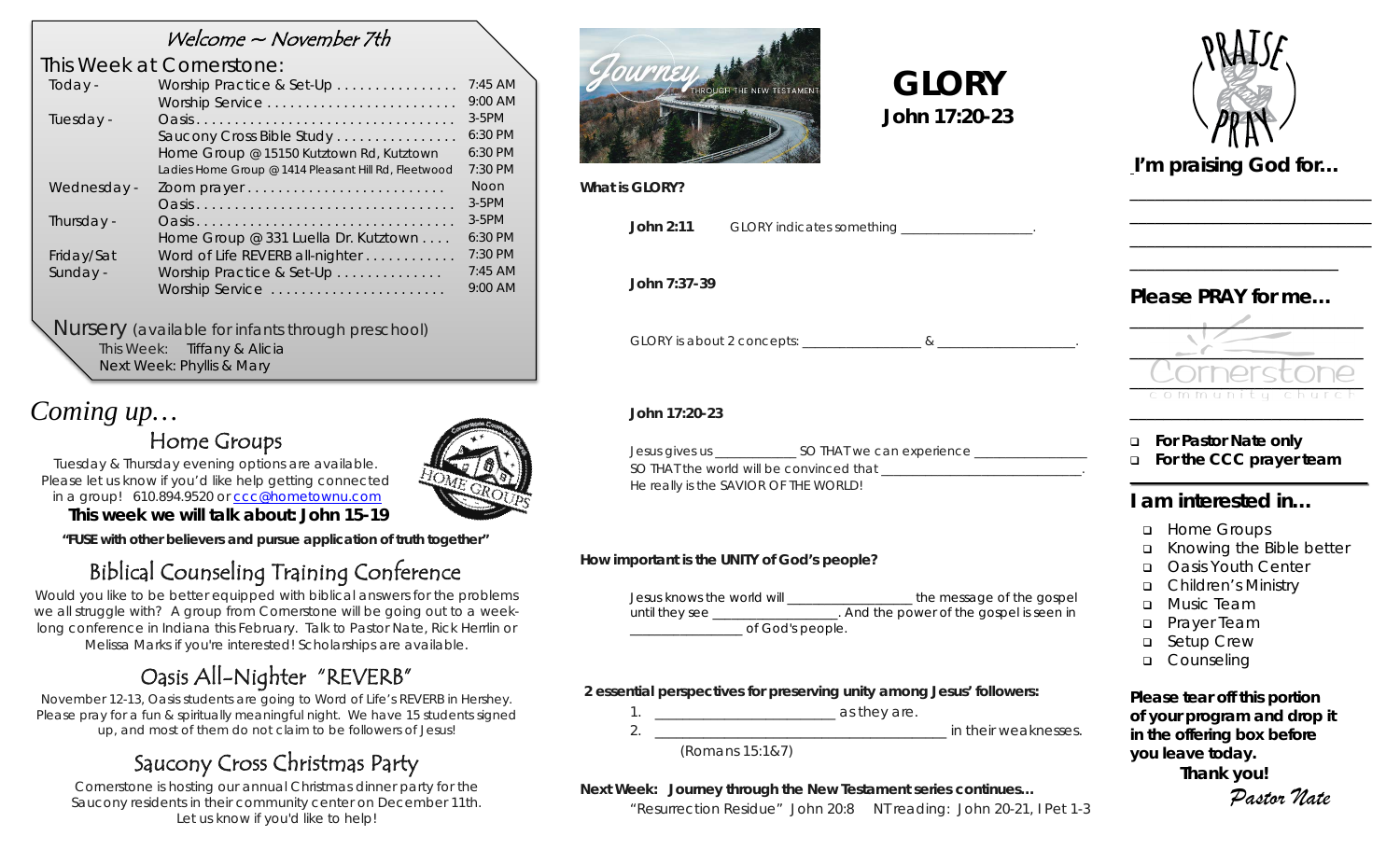### Welcome  $\sim$  November 7th

### *This Week at Cornerstone:*

| Today -     | Worship Practice & Set-Up                            | $7:45$ AM   |
|-------------|------------------------------------------------------|-------------|
|             |                                                      | $9:00$ AM   |
| Tuesday -   |                                                      | $3-5$ PM    |
|             | Saucony Cross Bible Study                            | 6:30 PM     |
|             | Home Group @ 15150 Kutztown Rd, Kutztown             | 6:30 PM     |
|             | Ladies Home Group @ 1414 Pleasant Hill Rd, Fleetwood | 7:30 PM     |
| Wednesday - |                                                      | <b>Noon</b> |
|             |                                                      | $3-5$ PM    |
| Thursday -  |                                                      | $3-5$ PM    |
|             | Home Group @ 331 Luella Dr. Kutztown                 | $6:30$ PM   |
| Friday/Sat  | Word of Life REVERB all-nighter                      | 7:30 PM     |
| Sunday -    | Worship Practice & Set-Up                            | $7:45$ AM   |
|             | Worship Service                                      | 9:00 AM     |
|             |                                                      |             |

#### *Nursery (available for infants through preschool)*

This Week: Tiffany & Alicia Next Week: Phyllis & Mary

# *Coming up…*

## Home Groups



Tuesday & Thursday evening options are available. Please let us know if you'd like help getting connected in a group! 610.894.9520 or [ccc@hometownu.com](mailto:ccc@hometownu.com)

**This week we will talk about: John 15-19**

*"FUSE with other believers and pursue application of truth together"*

# Biblical Counseling Training Conference

Would you like to be better equipped with biblical answers for the problems we all struggle with? A group from Cornerstone will be going out to a weeklong conference in Indiana this February. Talk to Pastor Nate, Rick Herrlin or Melissa Marks if you're interested! Scholarships are available.

# Oasis All-Nighter "REVERB"

November 12-13, Oasis students are going to Word of Life's REVERB in Hershey. Please pray for a fun & spiritually meaningful night. We have 15 students signed up, and most of them do not claim to be followers of Jesus!

## Saucony Cross Christmas Party

Cornerstone is hosting our annual Christmas dinner party for the Saucony residents in their community center on December 11th. Let us know if you'd like to help!



**What is GLORY?**

**John 2:11** GLORY indicates something

 **GLORY John 17:20-23**

**John 7:37-39**

GLORY is about 2 concepts: \_\_\_\_\_\_\_\_\_\_\_\_\_\_\_\_\_\_\_\_\_&

#### **John 17:20-23**

| Jesus gives us                           | SO THAT we can experience |  |
|------------------------------------------|---------------------------|--|
| SO THAT the world will be convinced that |                           |  |
| He really is the SAVIOR OF THE WORLD!    |                           |  |

#### **How important is the UNITY of God's people?**

| Jesus knows the world will | the message of the gospel                |
|----------------------------|------------------------------------------|
| until they see             | . And the power of the gospel is seen in |
| of God's people.           |                                          |

#### **2 essential perspectives for preserving unity among Jesus' followers:**



#### **Next Week: Journey through the New Testament series continues…**

*"Resurrection Residue" John 20:8 NT reading: John 20-21, I Pet 1-3*



*I'm praising God for…* 

\_\_\_\_\_\_\_\_\_\_\_\_\_\_\_\_\_\_\_\_\_\_\_\_\_\_\_\_\_ \_\_\_\_\_\_\_\_\_\_\_\_\_\_\_\_\_\_\_\_\_\_\_\_\_\_\_\_\_ \_\_\_\_\_\_\_\_\_\_\_\_\_\_\_\_\_\_\_\_\_\_\_\_\_\_\_\_\_

### *Please PRAY for me…*

\_\_\_\_\_\_\_\_\_\_\_\_\_\_\_\_\_\_\_\_\_\_\_\_\_



**For Pastor Nate only**

**For the CCC prayer team**

### **I am interested in…**

- **u** Home Groups
- Knowing the Bible better
- □ Oasis Youth Center
- Children's Ministry
- **D** Music Team
- **D** Prayer Team
- □ Setup Crew
- o Counseling

*Please tear off this portion of your program and drop it in the offering box before you leave today.*

**Thank you!**

*Pastor Nate*